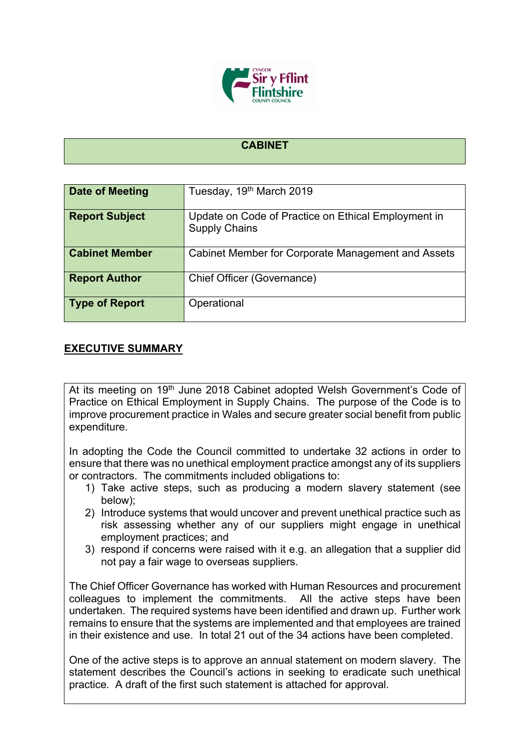

## **CABINET**

| Date of Meeting       | Tuesday, 19th March 2019                                                    |
|-----------------------|-----------------------------------------------------------------------------|
| <b>Report Subject</b> | Update on Code of Practice on Ethical Employment in<br><b>Supply Chains</b> |
| <b>Cabinet Member</b> | Cabinet Member for Corporate Management and Assets                          |
| <b>Report Author</b>  | Chief Officer (Governance)                                                  |
| <b>Type of Report</b> | Operational                                                                 |

## **EXECUTIVE SUMMARY**

At its meeting on 19<sup>th</sup> June 2018 Cabinet adopted Welsh Government's Code of Practice on Ethical Employment in Supply Chains. The purpose of the Code is to improve procurement practice in Wales and secure greater social benefit from public expenditure.

In adopting the Code the Council committed to undertake 32 actions in order to ensure that there was no unethical employment practice amongst any of its suppliers or contractors. The commitments included obligations to:

- 1) Take active steps, such as producing a modern slavery statement (see below);
- 2) Introduce systems that would uncover and prevent unethical practice such as risk assessing whether any of our suppliers might engage in unethical employment practices; and
- 3) respond if concerns were raised with it e.g. an allegation that a supplier did not pay a fair wage to overseas suppliers.

The Chief Officer Governance has worked with Human Resources and procurement colleagues to implement the commitments. All the active steps have been undertaken. The required systems have been identified and drawn up. Further work remains to ensure that the systems are implemented and that employees are trained in their existence and use. In total 21 out of the 34 actions have been completed.

One of the active steps is to approve an annual statement on modern slavery. The statement describes the Council's actions in seeking to eradicate such unethical practice. A draft of the first such statement is attached for approval.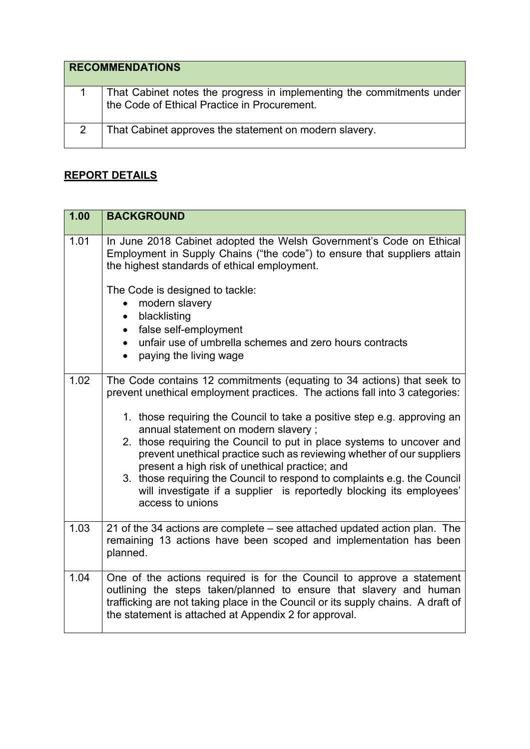| <b>RECOMMENDATIONS</b> |                                                                                                                       |
|------------------------|-----------------------------------------------------------------------------------------------------------------------|
|                        | That Cabinet notes the progress in implementing the commitments under<br>the Code of Ethical Practice in Procurement. |
| 2                      | That Cabinet approves the statement on modern slavery.                                                                |

## **REPORT DETAILS**

| 1.00 | <b>BACKGROUND</b>                                                                                                                                                                                                                                                                        |
|------|------------------------------------------------------------------------------------------------------------------------------------------------------------------------------------------------------------------------------------------------------------------------------------------|
| 1.01 | In June 2018 Cabinet adopted the Welsh Government's Code on Ethical<br>Employment in Supply Chains ("the code") to ensure that suppliers attain<br>the highest standards of ethical employment.                                                                                          |
|      | The Code is designed to tackle:<br>modern slavery<br>blacklisting<br>$\bullet$<br>false self-employment<br>$\bullet$                                                                                                                                                                     |
|      | unfair use of umbrella schemes and zero hours contracts<br>paying the living wage                                                                                                                                                                                                        |
| 1.02 | The Code contains 12 commitments (equating to 34 actions) that seek to<br>prevent unethical employment practices. The actions fall into 3 categories:<br>1. those requiring the Council to take a positive step e.g. approving an                                                        |
|      | annual statement on modern slavery;<br>2. those requiring the Council to put in place systems to uncover and<br>prevent unethical practice such as reviewing whether of our suppliers<br>present a high risk of unethical practice; and                                                  |
|      | 3. those requiring the Council to respond to complaints e.g. the Council<br>will investigate if a supplier is reportedly blocking its employees'<br>access to unions                                                                                                                     |
| 1.03 | 21 of the 34 actions are complete – see attached updated action plan. The<br>remaining 13 actions have been scoped and implementation has been<br>planned.                                                                                                                               |
| 1.04 | One of the actions required is for the Council to approve a statement<br>outlining the steps taken/planned to ensure that slavery and human<br>trafficking are not taking place in the Council or its supply chains. A draft of<br>the statement is attached at Appendix 2 for approval. |